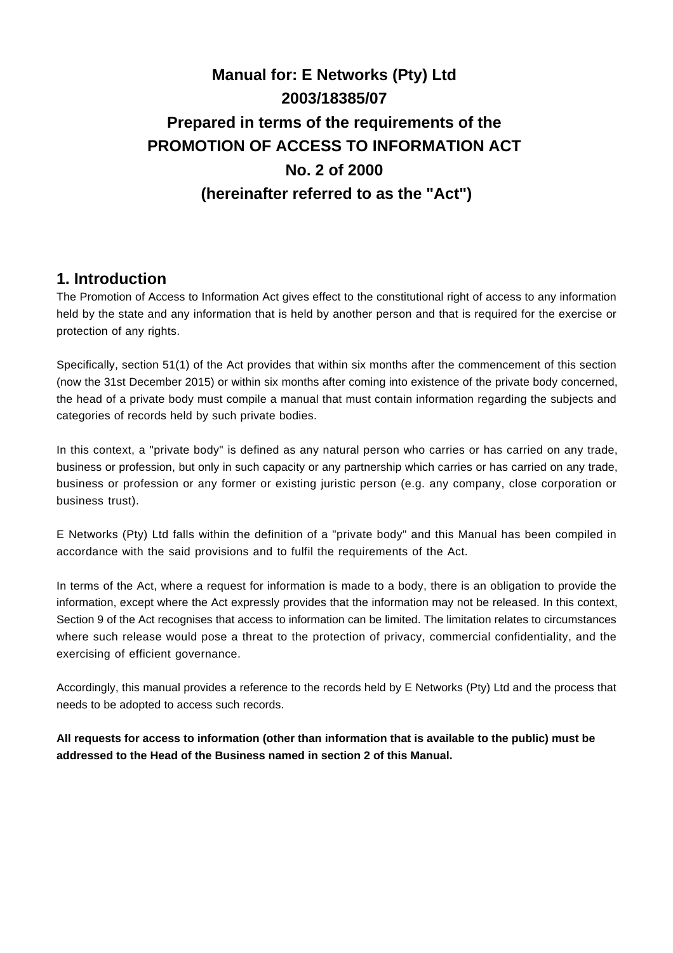# **Manual for: E Networks (Pty) Ltd 2003/18385/07 Prepared in terms of the requirements of the PROMOTION OF ACCESS TO INFORMATION ACT No. 2 of 2000 (hereinafter referred to as the "Act")**

### **1. Introduction**

The Promotion of Access to Information Act gives effect to the constitutional right of access to any information held by the state and any information that is held by another person and that is required for the exercise or protection of any rights.

Specifically, section 51(1) of the Act provides that within six months after the commencement of this section (now the 31st December 2015) or within six months after coming into existence of the private body concerned, the head of a private body must compile a manual that must contain information regarding the subjects and categories of records held by such private bodies.

In this context, a "private body" is defined as any natural person who carries or has carried on any trade, business or profession, but only in such capacity or any partnership which carries or has carried on any trade, business or profession or any former or existing juristic person (e.g. any company, close corporation or business trust).

E Networks (Pty) Ltd falls within the definition of a "private body" and this Manual has been compiled in accordance with the said provisions and to fulfil the requirements of the Act.

In terms of the Act, where a request for information is made to a body, there is an obligation to provide the information, except where the Act expressly provides that the information may not be released. In this context, Section 9 of the Act recognises that access to information can be limited. The limitation relates to circumstances where such release would pose a threat to the protection of privacy, commercial confidentiality, and the exercising of efficient governance.

Accordingly, this manual provides a reference to the records held by E Networks (Pty) Ltd and the process that needs to be adopted to access such records.

**All requests for access to information (other than information that is available to the public) must be addressed to the Head of the Business named in section 2 of this Manual.**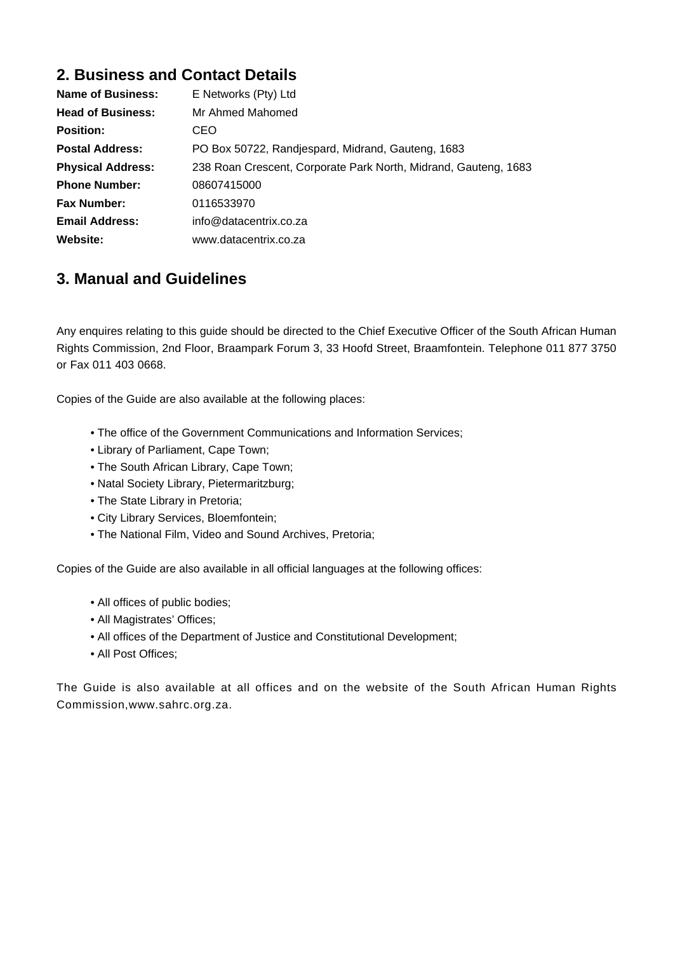## **2. Business and Contact Details**

| Name of Business:        | E Networks (Pty) Ltd                                            |
|--------------------------|-----------------------------------------------------------------|
| <b>Head of Business:</b> | Mr Ahmed Mahomed                                                |
| <b>Position:</b>         | CEO                                                             |
| <b>Postal Address:</b>   | PO Box 50722, Randjespard, Midrand, Gauteng, 1683               |
| <b>Physical Address:</b> | 238 Roan Crescent, Corporate Park North, Midrand, Gauteng, 1683 |
| <b>Phone Number:</b>     | 08607415000                                                     |
| <b>Fax Number:</b>       | 0116533970                                                      |
| <b>Email Address:</b>    | info@datacentrix.co.za                                          |
| Website:                 | www.datacentrix.co.za                                           |

### **3. Manual and Guidelines**

Any enquires relating to this guide should be directed to the Chief Executive Officer of the South African Human Rights Commission, 2nd Floor, Braampark Forum 3, 33 Hoofd Street, Braamfontein. Telephone 011 877 3750 or Fax 011 403 0668.

Copies of the Guide are also available at the following places:

- The office of the Government Communications and Information Services;
- Library of Parliament, Cape Town;
- The South African Library, Cape Town;
- Natal Society Library, Pietermaritzburg;
- The State Library in Pretoria;
- City Library Services, Bloemfontein;
- The National Film, Video and Sound Archives, Pretoria;

Copies of the Guide are also available in all official languages at the following offices:

- All offices of public bodies;
- All Magistrates' Offices;
- All offices of the Department of Justice and Constitutional Development;
- All Post Offices;

The Guide is also available at all offices and on the website of the South African Human Rights Commission,www.sahrc.org.za.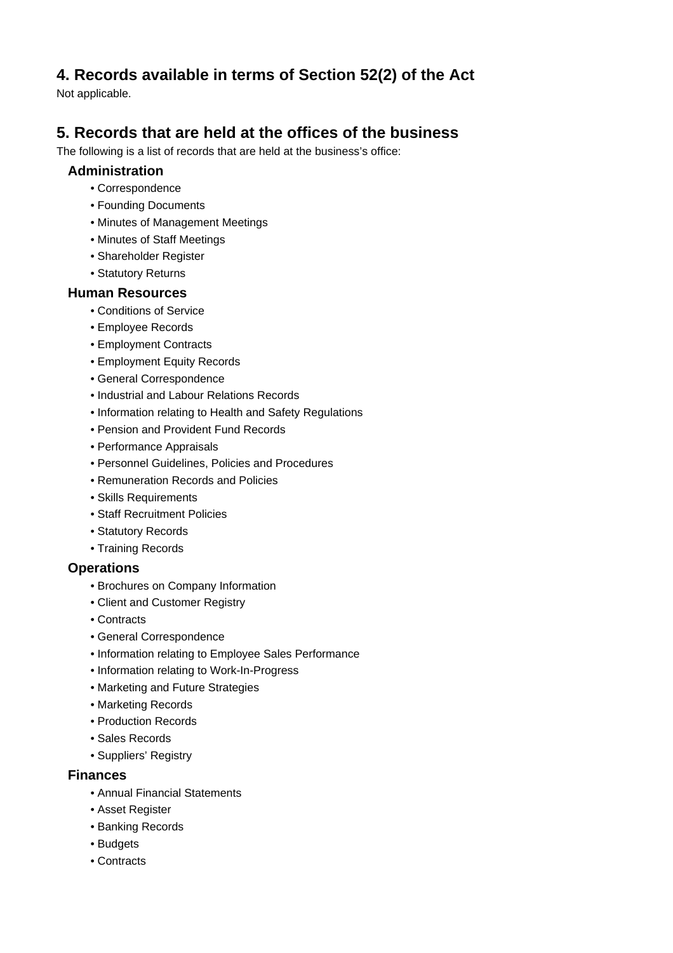## **4. Records available in terms of Section 52(2) of the Act**

Not applicable.

# **5. Records that are held at the offices of the business**

The following is a list of records that are held at the business's office:

#### **Administration**

- Correspondence
- Founding Documents
- Minutes of Management Meetings
- Minutes of Staff Meetings
- Shareholder Register
- Statutory Returns

#### **Human Resources**

- Conditions of Service
- Employee Records
- Employment Contracts
- Employment Equity Records
- General Correspondence
- Industrial and Labour Relations Records
- Information relating to Health and Safety Regulations
- Pension and Provident Fund Records
- Performance Appraisals
- Personnel Guidelines, Policies and Procedures
- Remuneration Records and Policies
- Skills Requirements
- Staff Recruitment Policies
- Statutory Records
- Training Records

#### **Operations**

- Brochures on Company Information
- Client and Customer Registry
- Contracts
- General Correspondence
- Information relating to Employee Sales Performance
- Information relating to Work-In-Progress
- Marketing and Future Strategies
- Marketing Records
- Production Records
- Sales Records
- Suppliers' Registry

#### **Finances**

- Annual Financial Statements
- Asset Register
- Banking Records
- Budgets
- Contracts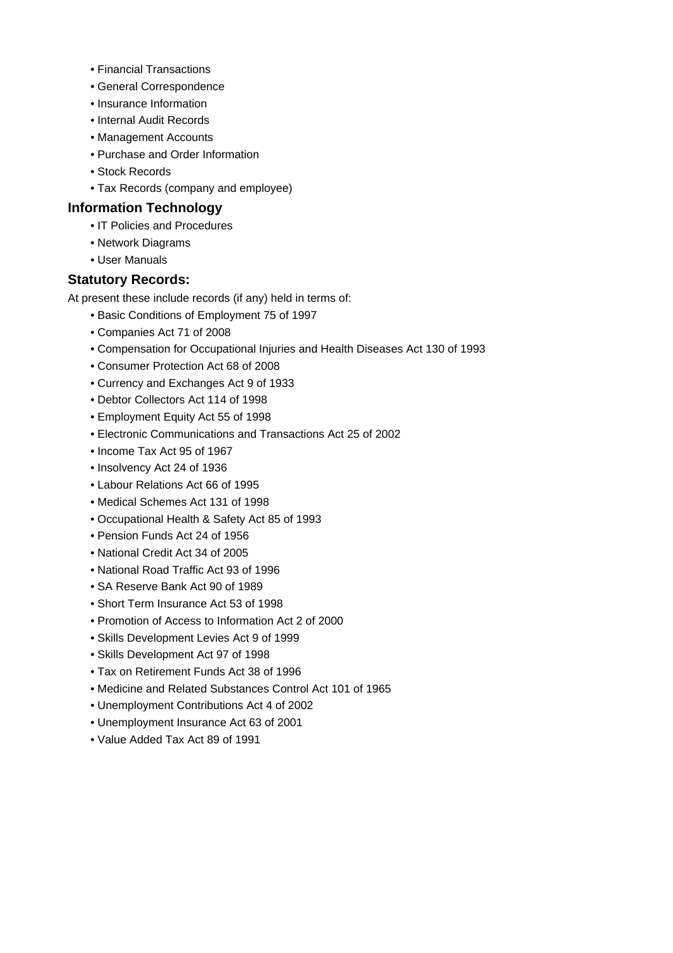- Financial Transactions
- General Correspondence
- Insurance Information
- Internal Audit Records
- Management Accounts
- Purchase and Order Information
- Stock Records
- Tax Records (company and employee)

#### **Information Technology**

- IT Policies and Procedures
- Network Diagrams
- User Manuals

#### **Statutory Records:**

At present these include records (if any) held in terms of:

- Basic Conditions of Employment 75 of 1997
- Companies Act 71 of 2008
- Compensation for Occupational Injuries and Health Diseases Act 130 of 1993
- Consumer Protection Act 68 of 2008
- Currency and Exchanges Act 9 of 1933
- Debtor Collectors Act 114 of 1998
- Employment Equity Act 55 of 1998
- Electronic Communications and Transactions Act 25 of 2002
- Income Tax Act 95 of 1967
- Insolvency Act 24 of 1936
- Labour Relations Act 66 of 1995
- Medical Schemes Act 131 of 1998
- Occupational Health & Safety Act 85 of 1993
- Pension Funds Act 24 of 1956
- National Credit Act 34 of 2005
- National Road Traffic Act 93 of 1996
- SA Reserve Bank Act 90 of 1989
- Short Term Insurance Act 53 of 1998
- Promotion of Access to Information Act 2 of 2000
- Skills Development Levies Act 9 of 1999
- Skills Development Act 97 of 1998
- Tax on Retirement Funds Act 38 of 1996
- Medicine and Related Substances Control Act 101 of 1965
- Unemployment Contributions Act 4 of 2002
- Unemployment Insurance Act 63 of 2001
- Value Added Tax Act 89 of 1991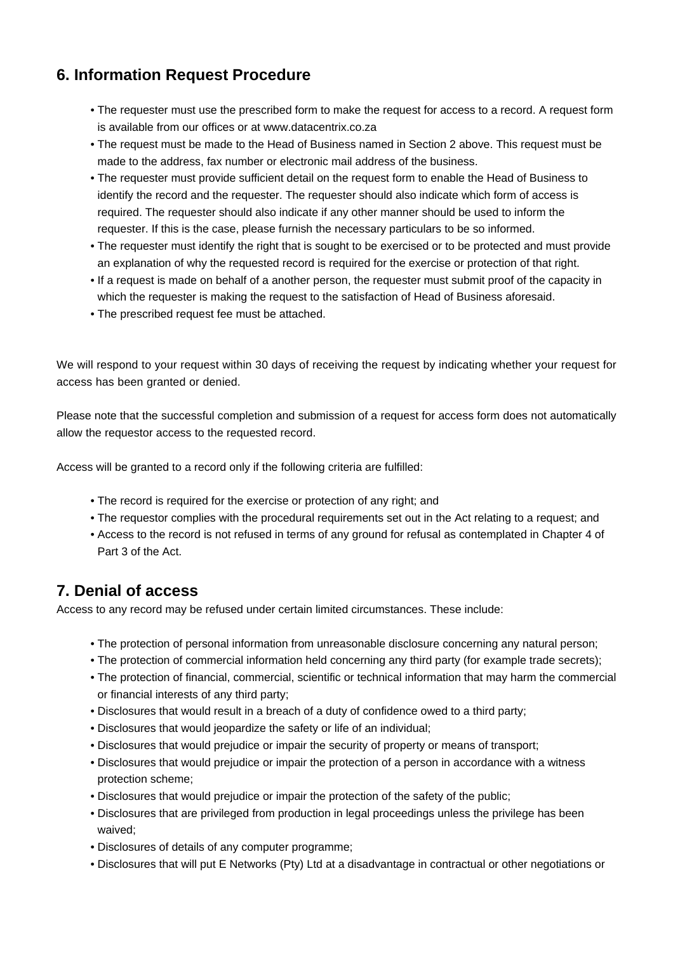# **6. Information Request Procedure**

- The requester must use the prescribed form to make the request for access to a record. A request form is available from our offices or at www.datacentrix.co.za
- The request must be made to the Head of Business named in Section 2 above. This request must be made to the address, fax number or electronic mail address of the business.
- The requester must provide sufficient detail on the request form to enable the Head of Business to identify the record and the requester. The requester should also indicate which form of access is required. The requester should also indicate if any other manner should be used to inform the requester. If this is the case, please furnish the necessary particulars to be so informed.
- The requester must identify the right that is sought to be exercised or to be protected and must provide an explanation of why the requested record is required for the exercise or protection of that right.
- If a request is made on behalf of a another person, the requester must submit proof of the capacity in which the requester is making the request to the satisfaction of Head of Business aforesaid.
- The prescribed request fee must be attached.

We will respond to your request within 30 days of receiving the request by indicating whether your request for access has been granted or denied.

Please note that the successful completion and submission of a request for access form does not automatically allow the requestor access to the requested record.

Access will be granted to a record only if the following criteria are fulfilled:

- The record is required for the exercise or protection of any right; and
- The requestor complies with the procedural requirements set out in the Act relating to a request; and
- Access to the record is not refused in terms of any ground for refusal as contemplated in Chapter 4 of Part 3 of the Act.

### **7. Denial of access**

Access to any record may be refused under certain limited circumstances. These include:

- The protection of personal information from unreasonable disclosure concerning any natural person;
- The protection of commercial information held concerning any third party (for example trade secrets);
- The protection of financial, commercial, scientific or technical information that may harm the commercial or financial interests of any third party;
- Disclosures that would result in a breach of a duty of confidence owed to a third party;
- Disclosures that would jeopardize the safety or life of an individual;
- Disclosures that would prejudice or impair the security of property or means of transport;
- Disclosures that would prejudice or impair the protection of a person in accordance with a witness protection scheme;
- Disclosures that would prejudice or impair the protection of the safety of the public;
- Disclosures that are privileged from production in legal proceedings unless the privilege has been waived;
- Disclosures of details of any computer programme;
- Disclosures that will put E Networks (Pty) Ltd at a disadvantage in contractual or other negotiations or